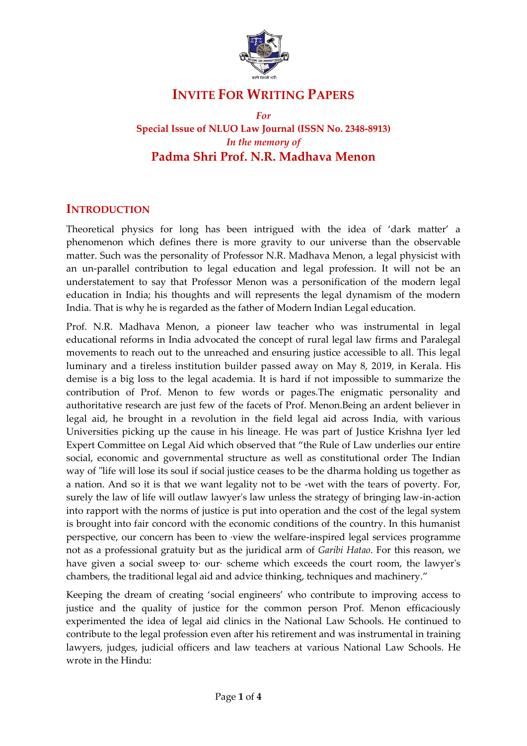

# **INVITE FOR WRITING PAPERS**

*For* 

**Special Issue of NLUO Law Journal (ISSN No. 2348-8913)** *In the memory of*  **Padma Shri Prof. N.R. Madhava Menon**

## **INTRODUCTION**

Theoretical physics for long has been intrigued with the idea of 'dark matter' a phenomenon which defines there is more gravity to our universe than the observable matter. Such was the personality of Professor N.R. Madhava Menon, a legal physicist with an un-parallel contribution to legal education and legal profession. It will not be an understatement to say that Professor Menon was a personification of the modern legal education in India; his thoughts and will represents the legal dynamism of the modern India. That is why he is regarded as the father of Modern Indian Legal education.

Prof. N.R. Madhava Menon, a pioneer law teacher who was instrumental in legal educational reforms in India advocated the concept of rural legal law firms and Paralegal movements to reach out to the unreached and ensuring justice accessible to all. This legal luminary and a tireless institution builder passed away on May 8, 2019, in Kerala. His demise is a big loss to the legal academia. It is hard if not impossible to summarize the contribution of Prof. Menon to few words or pages.The enigmatic personality and authoritative research are just few of the facets of Prof. Menon.Being an ardent believer in legal aid, he brought in a revolution in the field legal aid across India, with various Universities picking up the cause in his lineage. He was part of Justice Krishna Iyer led Expert Committee on Legal Aid which observed that "the Rule of Law underlies our entire social, economic and governmental structure as well as constitutional order The Indian way of "life will lose its soul if social justice ceases to be the dharma holding us together as a nation. And so it is that we want legality not to be -wet with the tears of poverty. For, surely the law of life will outlaw lawyer's law unless the strategy of bringing law-in-action into rapport with the norms of justice is put into operation and the cost of the legal system is brought into fair concord with the economic conditions of the country. In this humanist perspective, our concern has been to ·view the welfare-inspired legal services programme not as a professional gratuity but as the juridical arm of *Garibi Hatao*. For this reason, we have given a social sweep to· our· scheme which exceeds the court room, the lawyer's chambers, the traditional legal aid and advice thinking, techniques and machinery."

Keeping the dream of creating 'social engineers' who contribute to improving access to justice and the quality of justice for the common person Prof. Menon efficaciously experimented the idea of legal aid clinics in the National Law Schools. He continued to contribute to the legal profession even after his retirement and was instrumental in training lawyers, judges, judicial officers and law teachers at various National Law Schools. He wrote in the Hindu: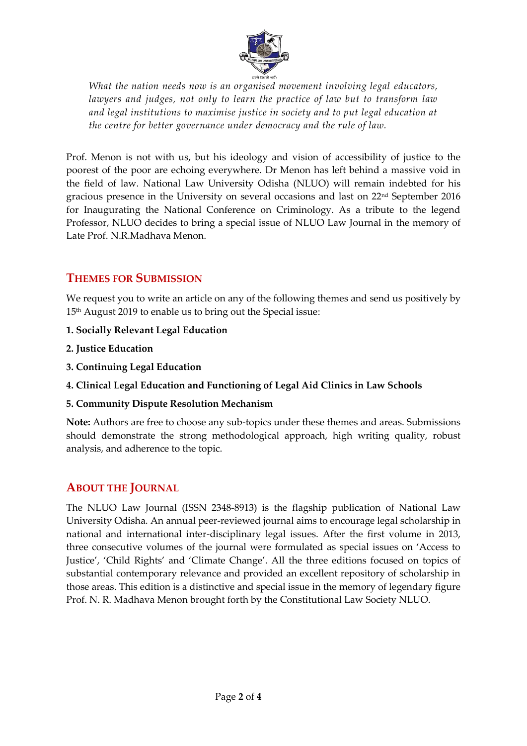

*What the nation needs now is an organised movement involving legal educators, lawyers and judges, not only to learn the practice of law but to transform law and legal institutions to maximise justice in society and to put legal education at the centre for better governance under democracy and the rule of law.*

Prof. Menon is not with us, but his ideology and vision of accessibility of justice to the poorest of the poor are echoing everywhere. Dr Menon has left behind a massive void in the field of law. National Law University Odisha (NLUO) will remain indebted for his gracious presence in the University on several occasions and last on 22nd September 2016 for Inaugurating the National Conference on Criminology. As a tribute to the legend Professor, NLUO decides to bring a special issue of NLUO Law Journal in the memory of Late Prof. N.R.Madhava Menon.

## **THEMES FOR SUBMISSION**

We request you to write an article on any of the following themes and send us positively by 15<sup>th</sup> August 2019 to enable us to bring out the Special issue:

- **1. Socially Relevant Legal Education**
- **2. Justice Education**
- **3. Continuing Legal Education**
- **4. Clinical Legal Education and Functioning of Legal Aid Clinics in Law Schools**
- **5. Community Dispute Resolution Mechanism**

**Note:** Authors are free to choose any sub-topics under these themes and areas. Submissions should demonstrate the strong methodological approach, high writing quality, robust analysis, and adherence to the topic.

## **ABOUT THE JOURNAL**

The NLUO Law Journal (ISSN 2348-8913) is the flagship publication of National Law University Odisha. An annual peer-reviewed journal aims to encourage legal scholarship in national and international inter-disciplinary legal issues. After the first volume in 2013, three consecutive volumes of the journal were formulated as special issues on 'Access to Justice', 'Child Rights' and 'Climate Change'. All the three editions focused on topics of substantial contemporary relevance and provided an excellent repository of scholarship in those areas. This edition is a distinctive and special issue in the memory of legendary figure Prof. N. R. Madhava Menon brought forth by the Constitutional Law Society NLUO.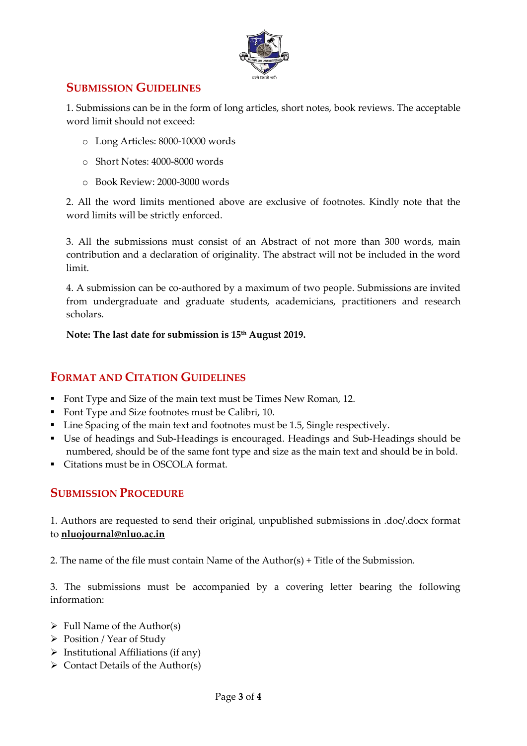

## **SUBMISSION GUIDELINES**

1. Submissions can be in the form of long articles, short notes, book reviews. The acceptable word limit should not exceed:

- o Long Articles: 8000-10000 words
- o Short Notes: 4000-8000 words
- o Book Review: 2000-3000 words

2. All the word limits mentioned above are exclusive of footnotes. Kindly note that the word limits will be strictly enforced.

3. All the submissions must consist of an Abstract of not more than 300 words, main contribution and a declaration of originality. The abstract will not be included in the word limit.

4. A submission can be co-authored by a maximum of two people. Submissions are invited from undergraduate and graduate students, academicians, practitioners and research scholars.

**Note: The last date for submission is 15th August 2019.**

## **FORMAT AND CITATION GUIDELINES**

- Font Type and Size of the main text must be Times New Roman, 12.
- Font Type and Size footnotes must be Calibri, 10.
- Line Spacing of the main text and footnotes must be 1.5, Single respectively.
- Use of headings and Sub-Headings is encouraged. Headings and Sub-Headings should be numbered, should be of the same font type and size as the main text and should be in bold.
- Citations must be in OSCOLA format.

## **SUBMISSION PROCEDURE**

1. Authors are requested to send their original, unpublished submissions in .doc/.docx format to **[nluojournal@nluo.ac.in](mailto:nluojournal@nluo.ac.in)**

2. The name of the file must contain Name of the Author(s) + Title of the Submission.

3. The submissions must be accompanied by a covering letter bearing the following information:

- $\triangleright$  Full Name of the Author(s)
- $\triangleright$  Position / Year of Study
- $\triangleright$  Institutional Affiliations (if any)
- $\triangleright$  Contact Details of the Author(s)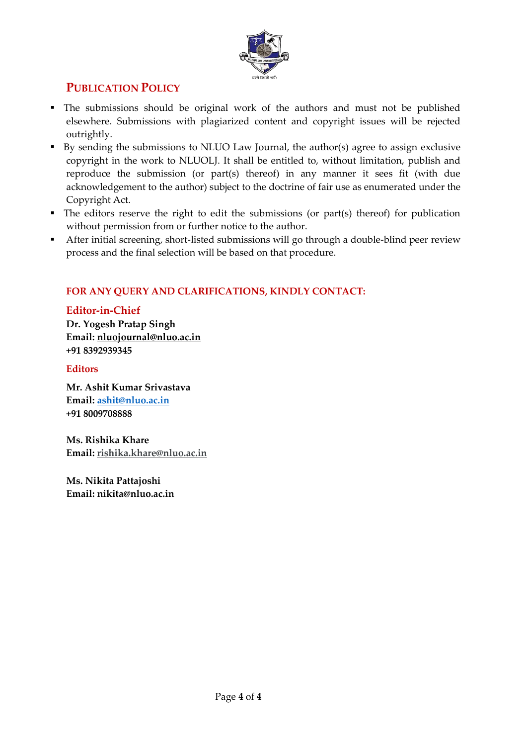

# **PUBLICATION POLICY**

- The submissions should be original work of the authors and must not be published elsewhere. Submissions with plagiarized content and copyright issues will be rejected outrightly.
- By sending the submissions to NLUO Law Journal, the author(s) agree to assign exclusive copyright in the work to NLUOLJ. It shall be entitled to, without limitation, publish and reproduce the submission (or part(s) thereof) in any manner it sees fit (with due acknowledgement to the author) subject to the doctrine of fair use as enumerated under the Copyright Act.
- $\blacksquare$  The editors reserve the right to edit the submissions (or part(s) thereof) for publication without permission from or further notice to the author.
- After initial screening, short-listed submissions will go through a double-blind peer review process and the final selection will be based on that procedure.

### **FOR ANY QUERY AND CLARIFICATIONS, KINDLY CONTACT:**

#### **Editor-in-Chief**

**Dr. Yogesh Pratap Singh Email: [nluojournal@nluo.ac.in](mailto:nluojournal@nluo.ac.in) +91 8392939345**

#### **Editors**

**Mr. Ashit Kumar Srivastava Email: [ashit@nluo.ac.in](mailto:ashit@nluo.ac.in) +91 8009708888**

**Ms. Rishika Khare Email[: rishika.khare@nluo.ac.in](mailto:rishika.khare@nluo.ac.in)**

**Ms. Nikita Pattajoshi Email: nikita@nluo.ac.in**